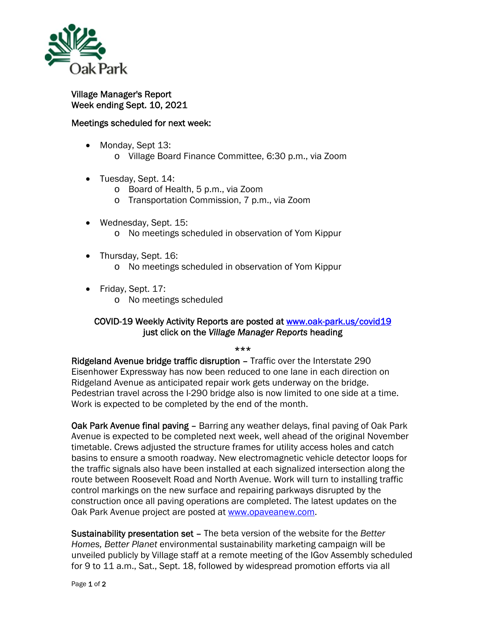

Village Manager's Report Week ending Sept. 10, 2021

## Meetings scheduled for next week:

- Monday, Sept 13:
	- o Village Board Finance Committee, 6:30 p.m., via Zoom
- Tuesday, Sept. 14:
	- o Board of Health, 5 p.m., via Zoom
	- o Transportation Commission, 7 p.m., via Zoom
- Wednesday, Sept. 15: o No meetings scheduled in observation of Yom Kippur
- Thursday, Sept. 16:
	- o No meetings scheduled in observation of Yom Kippur
- Friday, Sept. 17:
	- o No meetings scheduled

## COVID-19 Weekly Activity Reports are posted at www.oak-park.us/covid19 just click on the *Village Manager Reports* heading

## \*\*\*

Ridgeland Avenue bridge traffic disruption – Traffic over the Interstate 290 Eisenhower Expressway has now been reduced to one lane in each direction on Ridgeland Avenue as anticipated repair work gets underway on the bridge. Pedestrian travel across the I-290 bridge also is now limited to one side at a time. Work is expected to be completed by the end of the month.

Oak Park Avenue final paving – Barring any weather delays, final paving of Oak Park Avenue is expected to be completed next week, well ahead of the original November timetable. Crews adjusted the structure frames for utility access holes and catch basins to ensure a smooth roadway. New electromagnetic vehicle detector loops for the traffic signals also have been installed at each signalized intersection along the route between Roosevelt Road and North Avenue. Work will turn to installing traffic control markings on the new surface and repairing parkways disrupted by the construction once all paving operations are completed. The latest updates on the Oak Park Avenue project are posted at www.opaveanew.com.

Sustainability presentation set – The beta version of the website for the *Better Homes, Better Planet* environmental sustainability marketing campaign will be unveiled publicly by Village staff at a remote meeting of the IGov Assembly scheduled for 9 to 11 a.m., Sat., Sept. 18, followed by widespread promotion efforts via all